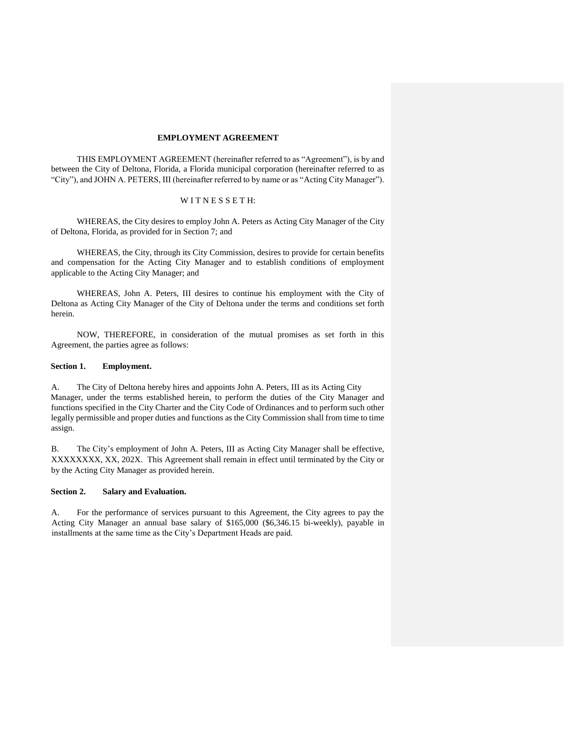## **EMPLOYMENT AGREEMENT**

THIS EMPLOYMENT AGREEMENT (hereinafter referred to as "Agreement"), is by and between the City of Deltona, Florida, a Florida municipal corporation (hereinafter referred to as "City"), and JOHN A. PETERS, III (hereinafter referred to by name or as "Acting City Manager").

## WITNESSETH<sup>.</sup>

WHEREAS, the City desires to employ John A. Peters as Acting City Manager of the City of Deltona, Florida, as provided for in Section 7; and

WHEREAS, the City, through its City Commission, desires to provide for certain benefits and compensation for the Acting City Manager and to establish conditions of employment applicable to the Acting City Manager; and

WHEREAS, John A. Peters, III desires to continue his employment with the City of Deltona as Acting City Manager of the City of Deltona under the terms and conditions set forth herein.

NOW, THEREFORE, in consideration of the mutual promises as set forth in this Agreement, the parties agree as follows:

### **Section 1. Employment.**

A. The City of Deltona hereby hires and appoints John A. Peters, III as its Acting City Manager, under the terms established herein, to perform the duties of the City Manager and functions specified in the City Charter and the City Code of Ordinances and to perform such other legally permissible and proper duties and functions as the City Commission shall from time to time assign.

B. The City's employment of John A. Peters, III as Acting City Manager shall be effective, XXXXXXXX, XX, 202X. This Agreement shall remain in effect until terminated by the City or by the Acting City Manager as provided herein.

## **Section 2. Salary and Evaluation.**

A. For the performance of services pursuant to this Agreement, the City agrees to pay the Acting City Manager an annual base salary of \$165,000 (\$6,346.15 bi-weekly), payable in installments at the same time as the City's Department Heads are paid.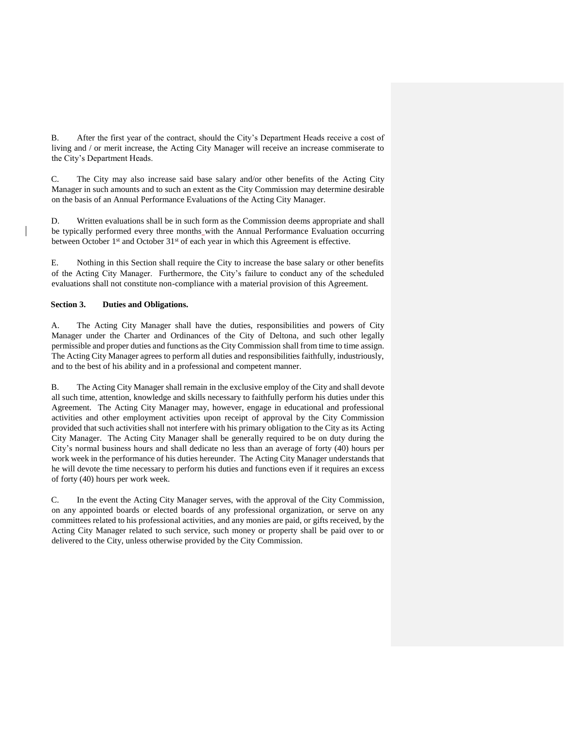B. After the first year of the contract, should the City's Department Heads receive a cost of living and / or merit increase, the Acting City Manager will receive an increase commiserate to the City's Department Heads.

C. The City may also increase said base salary and/or other benefits of the Acting City Manager in such amounts and to such an extent as the City Commission may determine desirable on the basis of an Annual Performance Evaluations of the Acting City Manager.

D. Written evaluations shall be in such form as the Commission deems appropriate and shall be typically performed every three months with the Annual Performance Evaluation occurring between October 1<sup>st</sup> and October 31<sup>st</sup> of each year in which this Agreement is effective.

E. Nothing in this Section shall require the City to increase the base salary or other benefits of the Acting City Manager. Furthermore, the City's failure to conduct any of the scheduled evaluations shall not constitute non-compliance with a material provision of this Agreement.

## **Section 3. Duties and Obligations.**

A. The Acting City Manager shall have the duties, responsibilities and powers of City Manager under the Charter and Ordinances of the City of Deltona, and such other legally permissible and proper duties and functions as the City Commission shall from time to time assign. The Acting City Manager agrees to perform all duties and responsibilities faithfully, industriously, and to the best of his ability and in a professional and competent manner.

B. The Acting City Manager shall remain in the exclusive employ of the City and shall devote all such time, attention, knowledge and skills necessary to faithfully perform his duties under this Agreement. The Acting City Manager may, however, engage in educational and professional activities and other employment activities upon receipt of approval by the City Commission provided that such activities shall not interfere with his primary obligation to the City as its Acting City Manager. The Acting City Manager shall be generally required to be on duty during the City's normal business hours and shall dedicate no less than an average of forty (40) hours per work week in the performance of his duties hereunder. The Acting City Manager understands that he will devote the time necessary to perform his duties and functions even if it requires an excess of forty (40) hours per work week.

C. In the event the Acting City Manager serves, with the approval of the City Commission, on any appointed boards or elected boards of any professional organization, or serve on any committees related to his professional activities, and any monies are paid, or gifts received, by the Acting City Manager related to such service, such money or property shall be paid over to or delivered to the City, unless otherwise provided by the City Commission.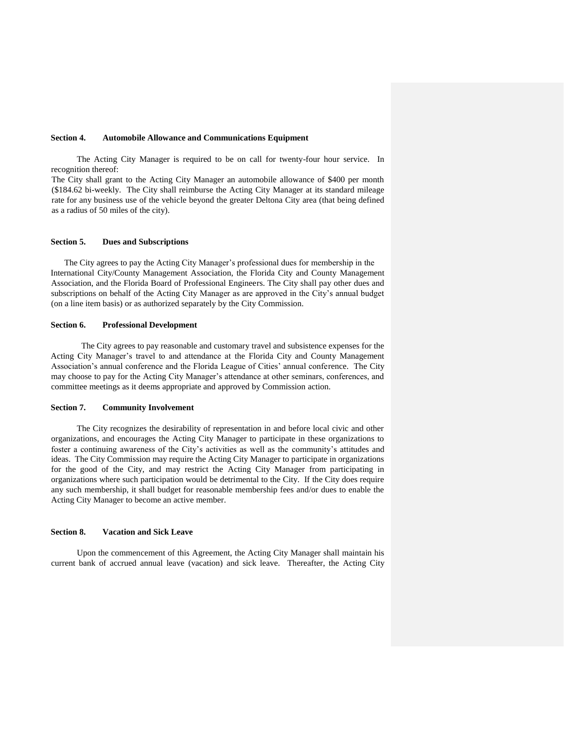#### **Section 4. Automobile Allowance and Communications Equipment**

The Acting City Manager is required to be on call for twenty-four hour service. In recognition thereof:

The City shall grant to the Acting City Manager an automobile allowance of \$400 per month (\$184.62 bi-weekly. The City shall reimburse the Acting City Manager at its standard mileage rate for any business use of the vehicle beyond the greater Deltona City area (that being defined as a radius of 50 miles of the city).

### **Section 5. Dues and Subscriptions**

The City agrees to pay the Acting City Manager's professional dues for membership in the International City/County Management Association, the Florida City and County Management Association, and the Florida Board of Professional Engineers. The City shall pay other dues and subscriptions on behalf of the Acting City Manager as are approved in the City's annual budget (on a line item basis) or as authorized separately by the City Commission.

### **Section 6. Professional Development**

The City agrees to pay reasonable and customary travel and subsistence expenses for the Acting City Manager's travel to and attendance at the Florida City and County Management Association's annual conference and the Florida League of Cities' annual conference. The City may choose to pay for the Acting City Manager's attendance at other seminars, conferences, and committee meetings as it deems appropriate and approved by Commission action.

#### **Section 7. Community Involvement**

The City recognizes the desirability of representation in and before local civic and other organizations, and encourages the Acting City Manager to participate in these organizations to foster a continuing awareness of the City's activities as well as the community's attitudes and ideas. The City Commission may require the Acting City Manager to participate in organizations for the good of the City, and may restrict the Acting City Manager from participating in organizations where such participation would be detrimental to the City. If the City does require any such membership, it shall budget for reasonable membership fees and/or dues to enable the Acting City Manager to become an active member.

### **Section 8. Vacation and Sick Leave**

Upon the commencement of this Agreement, the Acting City Manager shall maintain his current bank of accrued annual leave (vacation) and sick leave. Thereafter, the Acting City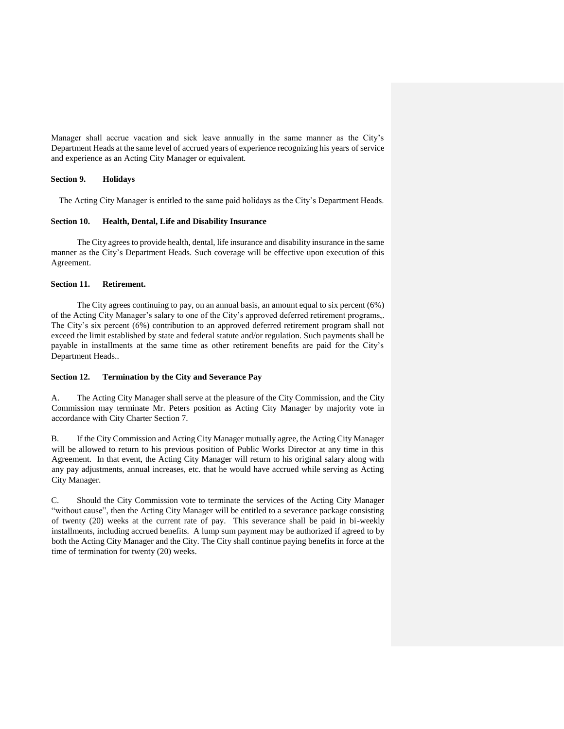Manager shall accrue vacation and sick leave annually in the same manner as the City's Department Heads at the same level of accrued years of experience recognizing his years of service and experience as an Acting City Manager or equivalent.

### **Section 9. Holidays**

The Acting City Manager is entitled to the same paid holidays as the City's Department Heads.

### **Section 10. Health, Dental, Life and Disability Insurance**

The City agrees to provide health, dental, life insurance and disability insurance in the same manner as the City's Department Heads. Such coverage will be effective upon execution of this Agreement.

### **Section 11. Retirement.**

The City agrees continuing to pay, on an annual basis, an amount equal to six percent (6%) of the Acting City Manager's salary to one of the City's approved deferred retirement programs,. The City's six percent (6%) contribution to an approved deferred retirement program shall not exceed the limit established by state and federal statute and/or regulation. Such payments shall be payable in installments at the same time as other retirement benefits are paid for the City's Department Heads..

## **Section 12. Termination by the City and Severance Pay**

A. The Acting City Manager shall serve at the pleasure of the City Commission, and the City Commission may terminate Mr. Peters position as Acting City Manager by majority vote in accordance with City Charter Section 7.

B. If the City Commission and Acting City Manager mutually agree, the Acting City Manager will be allowed to return to his previous position of Public Works Director at any time in this Agreement. In that event, the Acting City Manager will return to his original salary along with any pay adjustments, annual increases, etc. that he would have accrued while serving as Acting City Manager.

C. Should the City Commission vote to terminate the services of the Acting City Manager "without cause", then the Acting City Manager will be entitled to a severance package consisting of twenty (20) weeks at the current rate of pay. This severance shall be paid in bi-weekly installments, including accrued benefits. A lump sum payment may be authorized if agreed to by both the Acting City Manager and the City. The City shall continue paying benefits in force at the time of termination for twenty (20) weeks.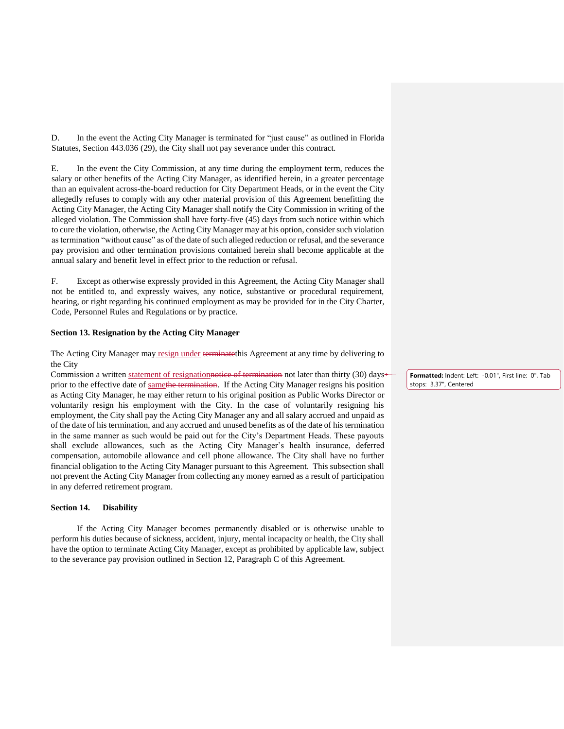D. In the event the Acting City Manager is terminated for "just cause" as outlined in Florida Statutes, Section 443.036 (29), the City shall not pay severance under this contract.

E. In the event the City Commission, at any time during the employment term, reduces the salary or other benefits of the Acting City Manager, as identified herein, in a greater percentage than an equivalent across-the-board reduction for City Department Heads, or in the event the City allegedly refuses to comply with any other material provision of this Agreement benefitting the Acting City Manager, the Acting City Manager shall notify the City Commission in writing of the alleged violation. The Commission shall have forty-five (45) days from such notice within which to cure the violation, otherwise, the Acting City Manager may at his option, consider such violation as termination "without cause" as of the date of such alleged reduction or refusal, and the severance pay provision and other termination provisions contained herein shall become applicable at the annual salary and benefit level in effect prior to the reduction or refusal.

F. Except as otherwise expressly provided in this Agreement, the Acting City Manager shall not be entitled to, and expressly waives, any notice, substantive or procedural requirement, hearing, or right regarding his continued employment as may be provided for in the City Charter, Code, Personnel Rules and Regulations or by practice.

### **Section 13. Resignation by the Acting City Manager**

The Acting City Manager may resign under terminate this Agreement at any time by delivering to the City

Commission a written statement of resignation notice of termination not later than thirty  $(30)$  days prior to the effective date of samethe termination. If the Acting City Manager resigns his position as Acting City Manager, he may either return to his original position as Public Works Director or voluntarily resign his employment with the City. In the case of voluntarily resigning his employment, the City shall pay the Acting City Manager any and all salary accrued and unpaid as of the date of his termination, and any accrued and unused benefits as of the date of his termination in the same manner as such would be paid out for the City's Department Heads. These payouts shall exclude allowances, such as the Acting City Manager's health insurance, deferred compensation, automobile allowance and cell phone allowance. The City shall have no further financial obligation to the Acting City Manager pursuant to this Agreement. This subsection shall not prevent the Acting City Manager from collecting any money earned as a result of participation in any deferred retirement program.

#### **Section 14. Disability**

If the Acting City Manager becomes permanently disabled or is otherwise unable to perform his duties because of sickness, accident, injury, mental incapacity or health, the City shall have the option to terminate Acting City Manager, except as prohibited by applicable law, subject to the severance pay provision outlined in Section 12, Paragraph C of this Agreement.

**Formatted:** Indent: Left: -0.01", First line: 0", Tab stops: 3.37", Centered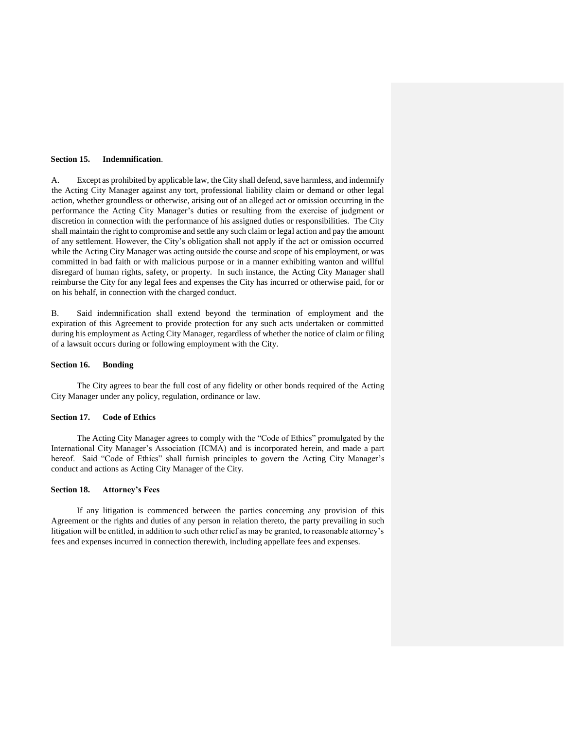#### **Section 15. Indemnification**.

A. Except as prohibited by applicable law, the City shall defend, save harmless, and indemnify the Acting City Manager against any tort, professional liability claim or demand or other legal action, whether groundless or otherwise, arising out of an alleged act or omission occurring in the performance the Acting City Manager's duties or resulting from the exercise of judgment or discretion in connection with the performance of his assigned duties or responsibilities. The City shall maintain the right to compromise and settle any such claim or legal action and pay the amount of any settlement. However, the City's obligation shall not apply if the act or omission occurred while the Acting City Manager was acting outside the course and scope of his employment, or was committed in bad faith or with malicious purpose or in a manner exhibiting wanton and willful disregard of human rights, safety, or property. In such instance, the Acting City Manager shall reimburse the City for any legal fees and expenses the City has incurred or otherwise paid, for or on his behalf, in connection with the charged conduct.

B. Said indemnification shall extend beyond the termination of employment and the expiration of this Agreement to provide protection for any such acts undertaken or committed during his employment as Acting City Manager, regardless of whether the notice of claim or filing of a lawsuit occurs during or following employment with the City.

#### **Section 16. Bonding**

The City agrees to bear the full cost of any fidelity or other bonds required of the Acting City Manager under any policy, regulation, ordinance or law.

### **Section 17. Code of Ethics**

The Acting City Manager agrees to comply with the "Code of Ethics" promulgated by the International City Manager's Association (ICMA) and is incorporated herein, and made a part hereof. Said "Code of Ethics" shall furnish principles to govern the Acting City Manager's conduct and actions as Acting City Manager of the City.

## **Section 18. Attorney's Fees**

If any litigation is commenced between the parties concerning any provision of this Agreement or the rights and duties of any person in relation thereto, the party prevailing in such litigation will be entitled, in addition to such other relief as may be granted, to reasonable attorney's fees and expenses incurred in connection therewith, including appellate fees and expenses.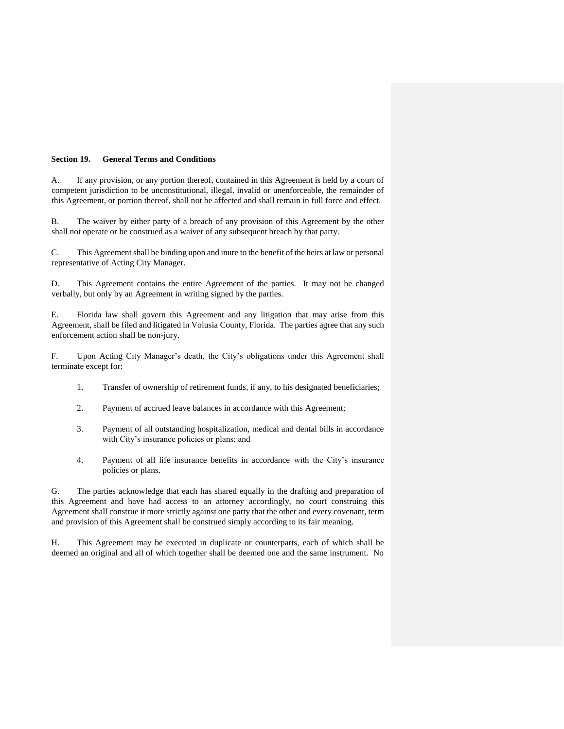### **Section 19. General Terms and Conditions**

A. If any provision, or any portion thereof, contained in this Agreement is held by a court of competent jurisdiction to be unconstitutional, illegal, invalid or unenforceable, the remainder of this Agreement, or portion thereof, shall not be affected and shall remain in full force and effect.

B. The waiver by either party of a breach of any provision of this Agreement by the other shall not operate or be construed as a waiver of any subsequent breach by that party.

C. This Agreement shall be binding upon and inure to the benefit of the heirs at law or personal representative of Acting City Manager.

D. This Agreement contains the entire Agreement of the parties. It may not be changed verbally, but only by an Agreement in writing signed by the parties.

E. Florida law shall govern this Agreement and any litigation that may arise from this Agreement, shall be filed and litigated in Volusia County, Florida. The parties agree that any such enforcement action shall be non-jury.

F. Upon Acting City Manager's death, the City's obligations under this Agreement shall terminate except for:

- 1. Transfer of ownership of retirement funds, if any, to his designated beneficiaries;
- 2. Payment of accrued leave balances in accordance with this Agreement;
- 3. Payment of all outstanding hospitalization, medical and dental bills in accordance with City's insurance policies or plans; and
- 4. Payment of all life insurance benefits in accordance with the City's insurance policies or plans.

G. The parties acknowledge that each has shared equally in the drafting and preparation of this Agreement and have had access to an attorney accordingly, no court construing this Agreement shall construe it more strictly against one party that the other and every covenant, term and provision of this Agreement shall be construed simply according to its fair meaning.

H. This Agreement may be executed in duplicate or counterparts, each of which shall be deemed an original and all of which together shall be deemed one and the same instrument. No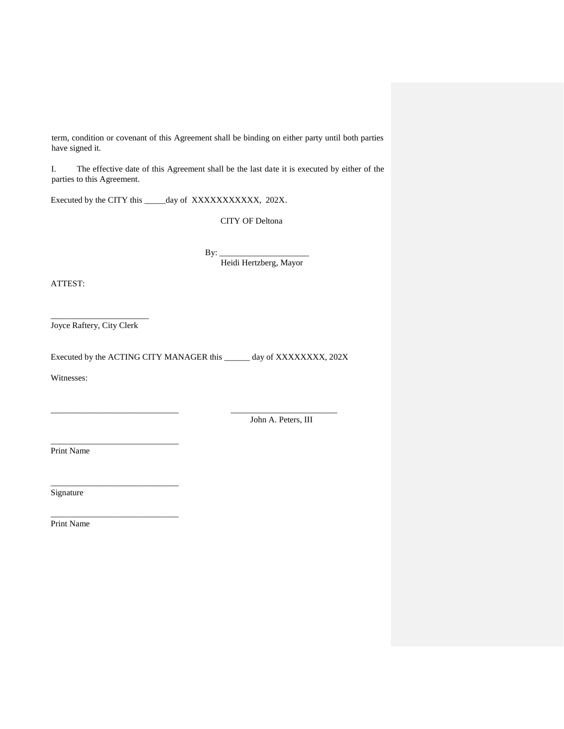term, condition or covenant of this Agreement shall be binding on either party until both parties have signed it.

I. The effective date of this Agreement shall be the last date it is executed by either of the parties to this Agreement.

Executed by the CITY this \_\_\_\_\_day of XXXXXXXXXXX, 202X.

CITY OF Deltona

 $By:$ 

Heidi Hertzberg, Mayor

ATTEST:

\_\_\_\_\_\_\_\_\_\_\_\_\_\_\_\_\_\_\_\_\_\_\_ Joyce Raftery, City Clerk

\_\_\_\_\_\_\_\_\_\_\_\_\_\_\_\_\_\_\_\_\_\_\_\_\_\_\_\_\_\_

\_\_\_\_\_\_\_\_\_\_\_\_\_\_\_\_\_\_\_\_\_\_\_\_\_\_\_\_\_\_

\_\_\_\_\_\_\_\_\_\_\_\_\_\_\_\_\_\_\_\_\_\_\_\_\_\_\_\_\_\_

Executed by the ACTING CITY MANAGER this \_\_\_\_\_\_\_ day of XXXXXXXX, 202X

\_\_\_\_\_\_\_\_\_\_\_\_\_\_\_\_\_\_\_\_\_\_\_\_\_\_\_\_\_\_ \_\_\_\_\_\_\_\_\_\_\_\_\_\_\_\_\_\_\_\_\_\_\_\_\_

Witnesses:

John A. Peters, III

Print Name

Signature

Print Name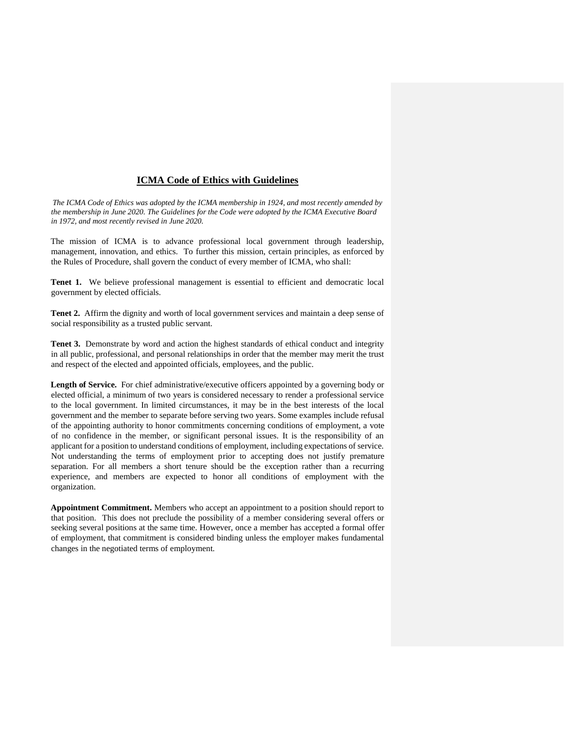# **ICMA Code of Ethics with Guidelines**

*The ICMA Code of Ethics was adopted by the ICMA membership in 1924, and most recently amended by the membership in June 2020. The Guidelines for the Code were adopted by the ICMA Executive Board in 1972, and most recently revised in June 2020.* 

The mission of ICMA is to advance professional local government through leadership, management, innovation, and ethics. To further this mission, certain principles, as enforced by the Rules of Procedure, shall govern the conduct of every member of ICMA, who shall:

Tenet 1. We believe professional management is essential to efficient and democratic local government by elected officials.

**Tenet 2.** Affirm the dignity and worth of local government services and maintain a deep sense of social responsibility as a trusted public servant.

**Tenet 3.** Demonstrate by word and action the highest standards of ethical conduct and integrity in all public, professional, and personal relationships in order that the member may merit the trust and respect of the elected and appointed officials, employees, and the public.

**Length of Service.** For chief administrative/executive officers appointed by a governing body or elected official, a minimum of two years is considered necessary to render a professional service to the local government. In limited circumstances, it may be in the best interests of the local government and the member to separate before serving two years. Some examples include refusal of the appointing authority to honor commitments concerning conditions of employment, a vote of no confidence in the member, or significant personal issues. It is the responsibility of an applicant for a position to understand conditions of employment, including expectations of service. Not understanding the terms of employment prior to accepting does not justify premature separation. For all members a short tenure should be the exception rather than a recurring experience, and members are expected to honor all conditions of employment with the organization.

**Appointment Commitment.** Members who accept an appointment to a position should report to that position. This does not preclude the possibility of a member considering several offers or seeking several positions at the same time. However, once a member has accepted a formal offer of employment, that commitment is considered binding unless the employer makes fundamental changes in the negotiated terms of employment.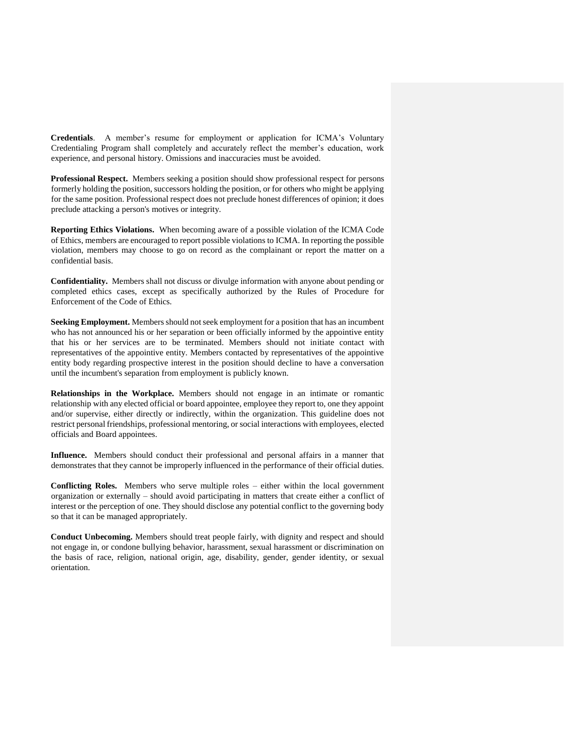**Credentials**. A member's resume for employment or application for ICMA's Voluntary Credentialing Program shall completely and accurately reflect the member's education, work experience, and personal history. Omissions and inaccuracies must be avoided.

**Professional Respect.** Members seeking a position should show professional respect for persons formerly holding the position, successors holding the position, or for others who might be applying for the same position. Professional respect does not preclude honest differences of opinion; it does preclude attacking a person's motives or integrity.

**Reporting Ethics Violations.** When becoming aware of a possible violation of the ICMA Code of Ethics, members are encouraged to report possible violations to ICMA. In reporting the possible violation, members may choose to go on record as the complainant or report the matter on a confidential basis.

**Confidentiality.** Members shall not discuss or divulge information with anyone about pending or completed ethics cases, except as specifically authorized by the Rules of Procedure for Enforcement of the Code of Ethics.

**Seeking Employment.** Members should not seek employment for a position that has an incumbent who has not announced his or her separation or been officially informed by the appointive entity that his or her services are to be terminated. Members should not initiate contact with representatives of the appointive entity. Members contacted by representatives of the appointive entity body regarding prospective interest in the position should decline to have a conversation until the incumbent's separation from employment is publicly known.

**Relationships in the Workplace.** Members should not engage in an intimate or romantic relationship with any elected official or board appointee, employee they report to, one they appoint and/or supervise, either directly or indirectly, within the organization. This guideline does not restrict personal friendships, professional mentoring, or social interactions with employees, elected officials and Board appointees.

**Influence.** Members should conduct their professional and personal affairs in a manner that demonstrates that they cannot be improperly influenced in the performance of their official duties.

**Conflicting Roles.** Members who serve multiple roles – either within the local government organization or externally – should avoid participating in matters that create either a conflict of interest or the perception of one. They should disclose any potential conflict to the governing body so that it can be managed appropriately.

**Conduct Unbecoming.** Members should treat people fairly, with dignity and respect and should not engage in, or condone bullying behavior, harassment, sexual harassment or discrimination on the basis of race, religion, national origin, age, disability, gender, gender identity, or sexual orientation.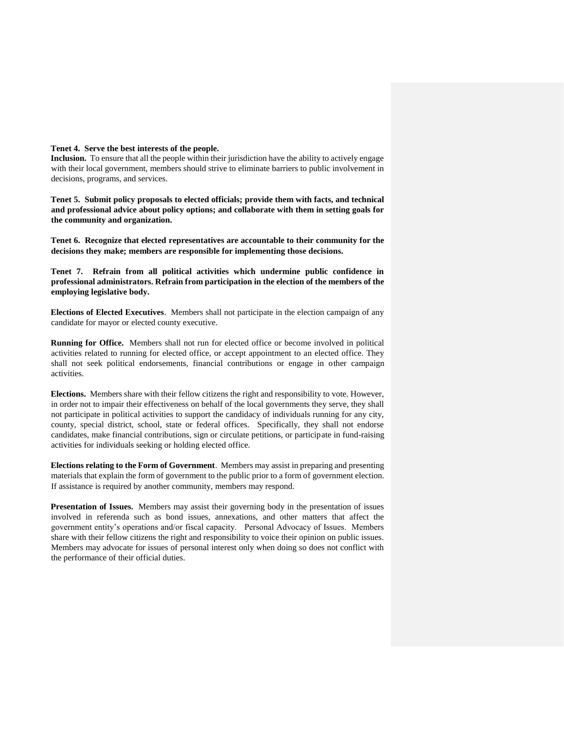#### **Tenet 4. Serve the best interests of the people.**

**Inclusion.** To ensure that all the people within their jurisdiction have the ability to actively engage with their local government, members should strive to eliminate barriers to public involvement in decisions, programs, and services.

**Tenet 5. Submit policy proposals to elected officials; provide them with facts, and technical and professional advice about policy options; and collaborate with them in setting goals for the community and organization.** 

**Tenet 6. Recognize that elected representatives are accountable to their community for the decisions they make; members are responsible for implementing those decisions.** 

**Tenet 7. Refrain from all political activities which undermine public confidence in professional administrators. Refrain from participation in the election of the members of the employing legislative body.** 

**Elections of Elected Executives**. Members shall not participate in the election campaign of any candidate for mayor or elected county executive.

**Running for Office.** Members shall not run for elected office or become involved in political activities related to running for elected office, or accept appointment to an elected office. They shall not seek political endorsements, financial contributions or engage in other campaign activities.

**Elections.** Members share with their fellow citizens the right and responsibility to vote. However, in order not to impair their effectiveness on behalf of the local governments they serve, they shall not participate in political activities to support the candidacy of individuals running for any city, county, special district, school, state or federal offices. Specifically, they shall not endorse candidates, make financial contributions, sign or circulate petitions, or participate in fund-raising activities for individuals seeking or holding elected office.

**Elections relating to the Form of Government**. Members may assist in preparing and presenting materials that explain the form of government to the public prior to a form of government election. If assistance is required by another community, members may respond.

**Presentation of Issues.** Members may assist their governing body in the presentation of issues involved in referenda such as bond issues, annexations, and other matters that affect the government entity's operations and/or fiscal capacity. Personal Advocacy of Issues. Members share with their fellow citizens the right and responsibility to voice their opinion on public issues. Members may advocate for issues of personal interest only when doing so does not conflict with the performance of their official duties.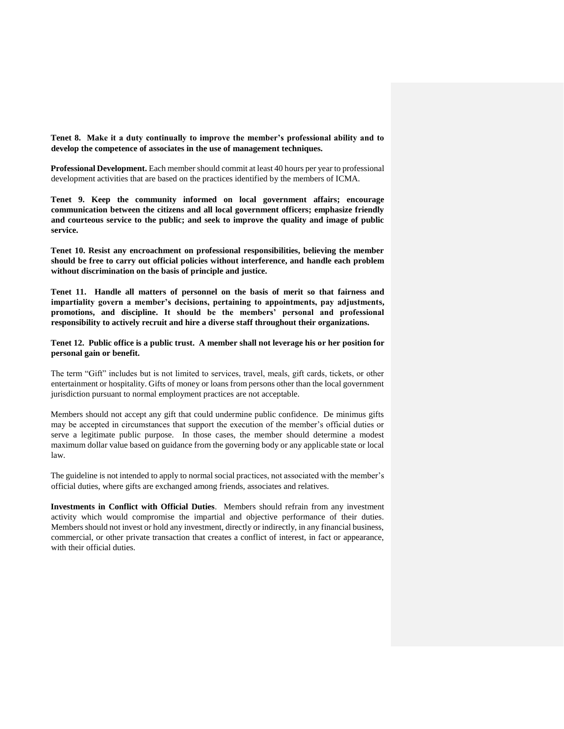**Tenet 8. Make it a duty continually to improve the member's professional ability and to develop the competence of associates in the use of management techniques.** 

**Professional Development.** Each member should commit at least 40 hours per year to professional development activities that are based on the practices identified by the members of ICMA.

**Tenet 9. Keep the community informed on local government affairs; encourage communication between the citizens and all local government officers; emphasize friendly and courteous service to the public; and seek to improve the quality and image of public service.** 

**Tenet 10. Resist any encroachment on professional responsibilities, believing the member should be free to carry out official policies without interference, and handle each problem without discrimination on the basis of principle and justice.** 

**Tenet 11. Handle all matters of personnel on the basis of merit so that fairness and impartiality govern a member's decisions, pertaining to appointments, pay adjustments, promotions, and discipline. It should be the members' personal and professional responsibility to actively recruit and hire a diverse staff throughout their organizations.**

**Tenet 12. Public office is a public trust. A member shall not leverage his or her position for personal gain or benefit.** 

The term "Gift" includes but is not limited to services, travel, meals, gift cards, tickets, or other entertainment or hospitality. Gifts of money or loans from persons other than the local government jurisdiction pursuant to normal employment practices are not acceptable.

Members should not accept any gift that could undermine public confidence. De minimus gifts may be accepted in circumstances that support the execution of the member's official duties or serve a legitimate public purpose. In those cases, the member should determine a modest maximum dollar value based on guidance from the governing body or any applicable state or local law.

The guideline is not intended to apply to normal social practices, not associated with the member's official duties, where gifts are exchanged among friends, associates and relatives.

**Investments in Conflict with Official Duties**. Members should refrain from any investment activity which would compromise the impartial and objective performance of their duties. Members should not invest or hold any investment, directly or indirectly, in any financial business, commercial, or other private transaction that creates a conflict of interest, in fact or appearance, with their official duties.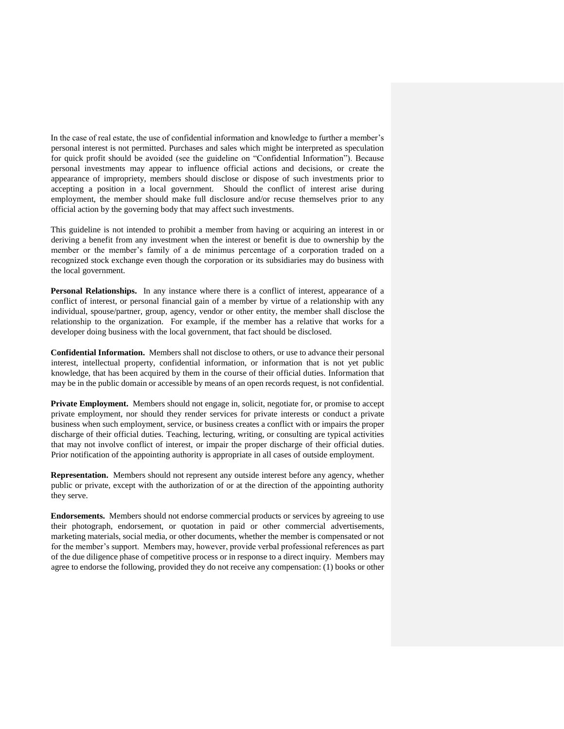In the case of real estate, the use of confidential information and knowledge to further a member's personal interest is not permitted. Purchases and sales which might be interpreted as speculation for quick profit should be avoided (see the guideline on "Confidential Information"). Because personal investments may appear to influence official actions and decisions, or create the appearance of impropriety, members should disclose or dispose of such investments prior to accepting a position in a local government. Should the conflict of interest arise during employment, the member should make full disclosure and/or recuse themselves prior to any official action by the governing body that may affect such investments.

This guideline is not intended to prohibit a member from having or acquiring an interest in or deriving a benefit from any investment when the interest or benefit is due to ownership by the member or the member's family of a de minimus percentage of a corporation traded on a recognized stock exchange even though the corporation or its subsidiaries may do business with the local government.

**Personal Relationships.** In any instance where there is a conflict of interest, appearance of a conflict of interest, or personal financial gain of a member by virtue of a relationship with any individual, spouse/partner, group, agency, vendor or other entity, the member shall disclose the relationship to the organization. For example, if the member has a relative that works for a developer doing business with the local government, that fact should be disclosed.

**Confidential Information.** Members shall not disclose to others, or use to advance their personal interest, intellectual property, confidential information, or information that is not yet public knowledge, that has been acquired by them in the course of their official duties. Information that may be in the public domain or accessible by means of an open records request, is not confidential.

**Private Employment.** Members should not engage in, solicit, negotiate for, or promise to accept private employment, nor should they render services for private interests or conduct a private business when such employment, service, or business creates a conflict with or impairs the proper discharge of their official duties. Teaching, lecturing, writing, or consulting are typical activities that may not involve conflict of interest, or impair the proper discharge of their official duties. Prior notification of the appointing authority is appropriate in all cases of outside employment.

**Representation.** Members should not represent any outside interest before any agency, whether public or private, except with the authorization of or at the direction of the appointing authority they serve.

**Endorsements.** Members should not endorse commercial products or services by agreeing to use their photograph, endorsement, or quotation in paid or other commercial advertisements, marketing materials, social media, or other documents, whether the member is compensated or not for the member's support. Members may, however, provide verbal professional references as part of the due diligence phase of competitive process or in response to a direct inquiry. Members may agree to endorse the following, provided they do not receive any compensation: (1) books or other